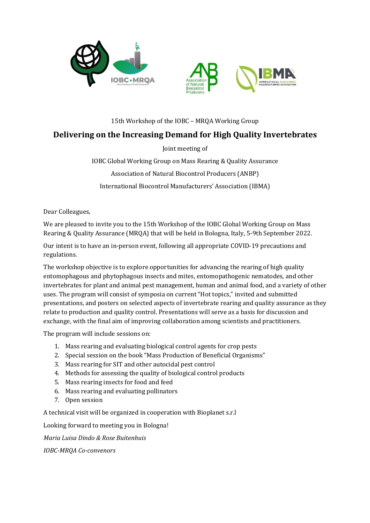



#### 15th Workshop of the IOBC – MRQA Working Group

# Delivering on the Increasing Demand for High Quality Invertebrates

Joint meeting of

IOBC Global Working Group on Mass Rearing & Quality Assurance Association of Natural Biocontrol Producers (ANBP) International Biocontrol Manufacturers' Association (IBMA)

Dear Colleagues,

We are pleased to invite you to the 15th Workshop of the IOBC Global Working Group on Mass Rearing & Quality Assurance (MRQA) that will be held in Bologna, Italy, 5-9th September 2022.

Our intent is to have an in-person event, following all appropriate COVID-19 precautions and regulations.

The workshop objective is to explore opportunities for advancing the rearing of high quality entomophagous and phytophagous insects and mites, entomopathogenic nematodes, and other invertebrates for plant and animal pest management, human and animal food, and a variety of other uses. The program will consist of symposia on current "Hot topics," invited and submitted presentations, and posters on selected aspects of invertebrate rearing and quality assurance as they relate to production and quality control. Presentations will serve as a basis for discussion and exchange, with the final aim of improving collaboration among scientists and practitioners.

The program will include sessions on:

- 1. Mass rearing and evaluating biological control agents for crop pests
- 2. Special session on the book "Mass Production of Beneficial Organisms"
- 3. Mass rearing for SIT and other autocidal pest control
- 4. Methods for assessing the quality of biological control products
- 5. Mass rearing insects for food and feed
- 6. Mass rearing and evaluating pollinators
- 7. Open session

A technical visit will be organized in cooperation with Bioplanet s.r.l

Looking forward to meeting you in Bologna!

Maria Luisa Dindo & Rose Buitenhuis

IOBC-MRQA Co-convenors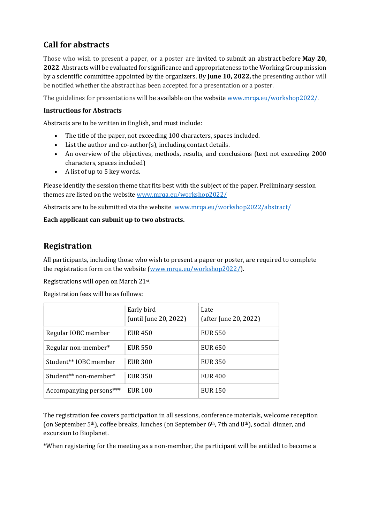# Call for abstracts

Those who wish to present a paper, or a poster are invited to submit an abstract before **May 20**, 2022. Abstracts will be evaluated for significance and appropriateness to the Working Group mission by a scientific committee appointed by the organizers. By June 10, 2022, the presenting author will be notified whether the abstract has been accepted for a presentation or a poster.

The guidelines for presentations will be available on the website www.mrqa.eu/workshop2022/.

#### Instructions for Abstracts

Abstracts are to be written in English, and must include:

- The title of the paper, not exceeding 100 characters, spaces included.
- List the author and co-author(s), including contact details.
- An overview of the objectives, methods, results, and conclusions (text not exceeding 2000 characters, spaces included)
- A list of up to 5 key words.

Please identify the session theme that fits best with the subject of the paper. Preliminary session themes are listed on the website www.mrqa.eu/workshop2022/

Abstracts are to be submitted via the website www.mrqa.eu/workshop2022/abstract/

#### Each applicant can submit up to two abstracts.

## Registration

All participants, including those who wish to present a paper or poster, are required to complete the registration form on the website (www.mrqa.eu/workshop2022/).

Registrations will open on March 21st .

Registration fees will be as follows:

|                         | Early bird<br>(until June 20, 2022) | Late<br>(after June 20, 2022) |
|-------------------------|-------------------------------------|-------------------------------|
| Regular IOBC member     | <b>EUR 450</b>                      | <b>EUR 550</b>                |
| Regular non-member*     | <b>EUR 550</b>                      | <b>EUR 650</b>                |
| Student** IOBC member   | <b>EUR 300</b>                      | <b>EUR 350</b>                |
| Student** non-member*   | EUR 350                             | <b>EUR 400</b>                |
| Accompanying persons*** | <b>EUR 100</b>                      | EUR 150                       |

The registration fee covers participation in all sessions, conference materials, welcome reception (on September 5th), coffee breaks, lunches (on September 6th, 7th and 8th), social dinner, and excursion to Bioplanet.

\*When registering for the meeting as a non-member, the participant will be entitled to become a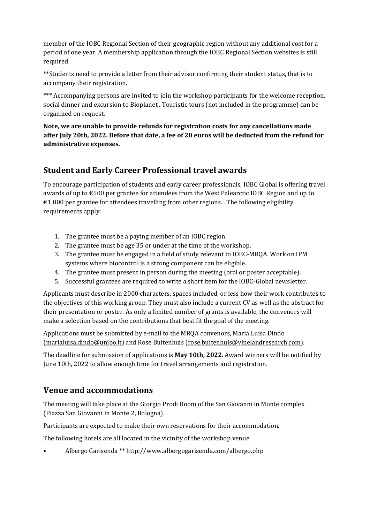member of the IOBC Regional Section of their geographic region without any additional cost for a period of one year. A membership application through the IOBC Regional Section websites is still required.

\*\*Students need to provide a letter from their advisor confirming their student status, that is to accompany their registration.

\*\*\* Accompanying persons are invited to join the workshop participants for the welcome reception, social dinner and excursion to Bioplanet . Touristic tours (not included in the programme) can be organized on request.

Note, we are unable to provide refunds for registration costs for any cancellations made after July 20th, 2022. Before that date, a fee of 20 euros will be deducted from the refund for administrative expenses.

# Student and Early Career Professional travel awards

To encourage participation of students and early career professionals, IOBC Global is offering travel awards of up to €500 per grantee for attendees from the West Palearctic IOBC Region and up to  $€1,000$  per grantee for attendees travelling from other regions. . The following eligibility requirements apply:

- 1. The grantee must be a paying member of an IOBC region.
- 2. The grantee must be age 35 or under at the time of the workshop.
- 3. The grantee must be engaged in a field of study relevant to IOBC-MRQA. Work on IPM systems where biocontrol is a strong component can be eligible.
- 4. The grantee must present in person during the meeting (oral or poster acceptable).
- 5. Successful grantees are required to write a short item for the IOBC-Global newsletter.

Applicants must describe in 2000 characters, spaces included, or less how their work contributes to the objectives of this working group. They must also include a current CV as well as the abstract for their presentation or poster. As only a limited number of grants is available, the convenors will make a selection based on the contributions that best fit the goal of the meeting.

Applications must be submitted by e-mail to the MRQA convenors, Maria Luisa Dindo (marialuisa.dindo@unibo.it) and Rose Buitenhuis (rose.buitenhuis@vinelandresearch.com).

The deadline for submission of applications is **May 10th, 2022**. Award winners will be notified by June 10th, 2022 to allow enough time for travel arrangements and registration.

### Venue and accommodations

The meeting will take place at the Giorgio Prodi Room of the San Giovanni in Monte complex (Piazza San Giovanni in Monte 2, Bologna).

Participants are expected to make their own reservations for their accommodation.

The following hotels are all located in the vicinity of the workshop venue.

• Albergo Garisenda \*\* http://www.albergogarisenda.com/albergo.php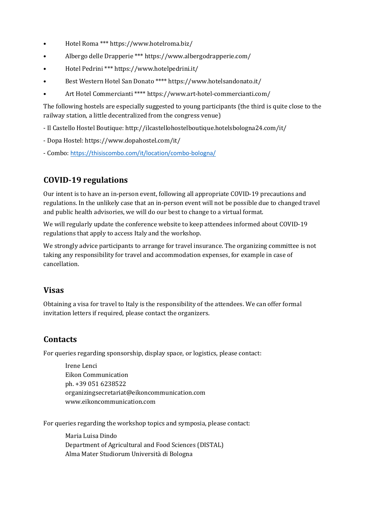- Hotel Roma \*\*\* https://www.hotelroma.biz/
- Albergo delle Drapperie \*\*\* https://www.albergodrapperie.com/
- Hotel Pedrini \*\*\* https://www.hotelpedrini.it/
- Best Western Hotel San Donato \*\*\*\* https://www.hotelsandonato.it/
- Art Hotel Commercianti \*\*\*\* https://www.art-hotel-commercianti.com/

The following hostels are especially suggested to young participants (the third is quite close to the railway station, a little decentralized from the congress venue)

- Il Castello Hostel Boutique: http://ilcastellohostelboutique.hotelsbologna24.com/it/
- Dopa Hostel: https://www.dopahostel.com/it/
- Combo: https://thisiscombo.com/it/location/combo-bologna/

# COVID-19 regulations

Our intent is to have an in-person event, following all appropriate COVID-19 precautions and regulations. In the unlikely case that an in-person event will not be possible due to changed travel and public health advisories, we will do our best to change to a virtual format.

We will regularly update the conference website to keep attendees informed about COVID-19 regulations that apply to access Italy and the workshop.

We strongly advice participants to arrange for travel insurance. The organizing committee is not taking any responsibility for travel and accommodation expenses, for example in case of cancellation.

### Visas

Obtaining a visa for travel to Italy is the responsibility of the attendees. We can offer formal invitation letters if required, please contact the organizers.

# **Contacts**

For queries regarding sponsorship, display space, or logistics, please contact:

Irene Lenci Eikon Communication ph. +39 051 6238522 organizingsecretariat@eikoncommunication.com www.eikoncommunication.com

For queries regarding the workshop topics and symposia, please contact:

Maria Luisa Dindo Department of Agricultural and Food Sciences (DISTAL) Alma Mater Studiorum Università di Bologna